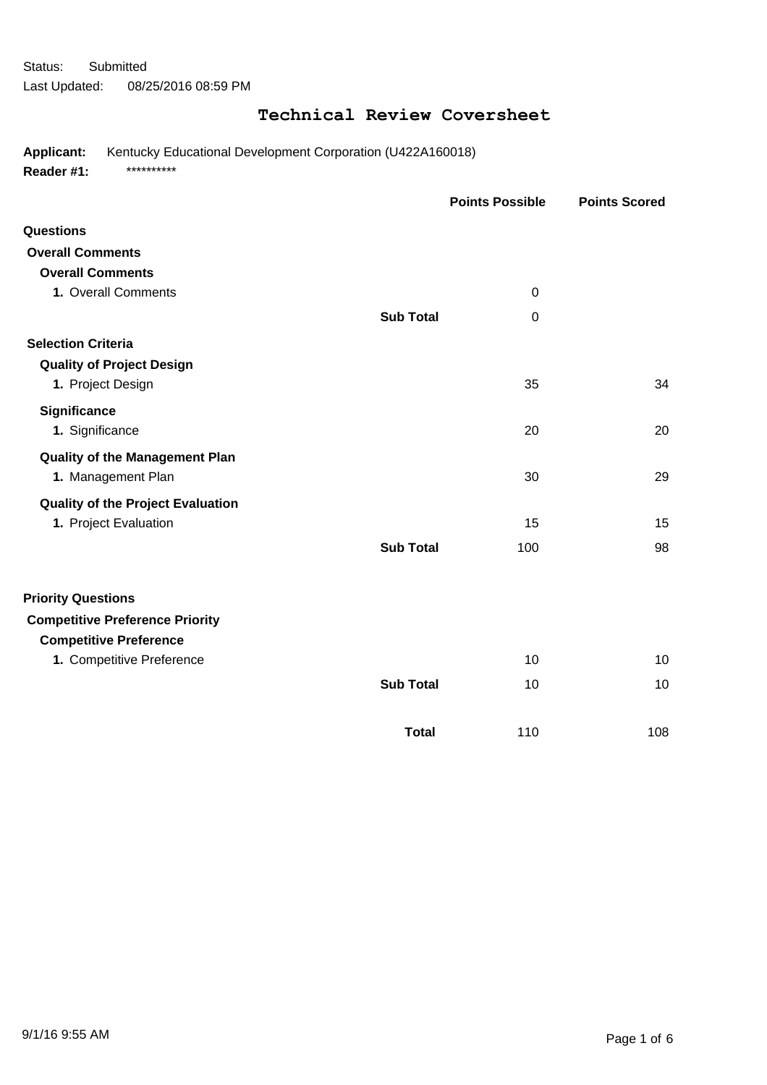Status: Submitted Last Updated: 08/25/2016 08:59 PM

# **Technical Review Coversheet**

**Applicant:** Kentucky Educational Development Corporation (U422A160018) Reader #1: \*\*\*\*\*\*\*\*\*\*\*

|                                          |                  | <b>Points Possible</b> | <b>Points Scored</b> |
|------------------------------------------|------------------|------------------------|----------------------|
| Questions                                |                  |                        |                      |
| <b>Overall Comments</b>                  |                  |                        |                      |
| <b>Overall Comments</b>                  |                  |                        |                      |
| 1. Overall Comments                      |                  | $\Omega$               |                      |
|                                          | <b>Sub Total</b> | $\Omega$               |                      |
| <b>Selection Criteria</b>                |                  |                        |                      |
| <b>Quality of Project Design</b>         |                  |                        |                      |
| 1. Project Design                        |                  | 35                     | 34                   |
| <b>Significance</b>                      |                  |                        |                      |
| 1. Significance                          |                  | 20                     | 20                   |
| <b>Quality of the Management Plan</b>    |                  |                        |                      |
| 1. Management Plan                       |                  | 30                     | 29                   |
| <b>Quality of the Project Evaluation</b> |                  |                        |                      |
| 1. Project Evaluation                    |                  | 15                     | 15                   |
|                                          | <b>Sub Total</b> | 100                    | 98                   |
| <b>Priority Questions</b>                |                  |                        |                      |
| <b>Competitive Preference Priority</b>   |                  |                        |                      |
| <b>Competitive Preference</b>            |                  |                        |                      |
| 1. Competitive Preference                |                  | 10                     | 10                   |
|                                          | <b>Sub Total</b> | 10                     | 10                   |
|                                          | <b>Total</b>     | 110                    | 108                  |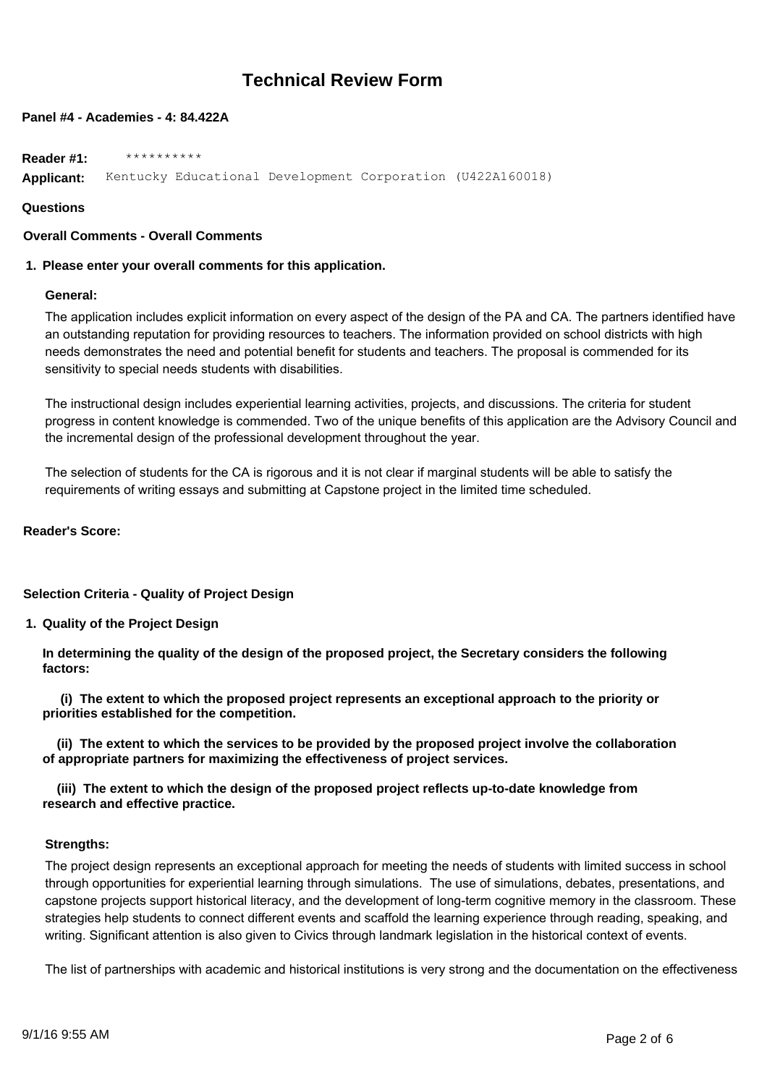## **Technical Review Form**

## **Panel #4 - Academies - 4: 84.422A**

**Reader #1:** \*\*\*\*\*\*\*\*\*\* **Applicant:** Kentucky Educational Development Corporation (U422A160018)

### **Questions**

### **Overall Comments - Overall Comments**

## **1. Please enter your overall comments for this application.**

### **General:**

The application includes explicit information on every aspect of the design of the PA and CA. The partners identified have an outstanding reputation for providing resources to teachers. The information provided on school districts with high needs demonstrates the need and potential benefit for students and teachers. The proposal is commended for its sensitivity to special needs students with disabilities.

The instructional design includes experiential learning activities, projects, and discussions. The criteria for student progress in content knowledge is commended. Two of the unique benefits of this application are the Advisory Council and the incremental design of the professional development throughout the year.

The selection of students for the CA is rigorous and it is not clear if marginal students will be able to satisfy the requirements of writing essays and submitting at Capstone project in the limited time scheduled.

## **Reader's Score:**

### **Selection Criteria - Quality of Project Design**

**Quality of the Project Design 1.**

**In determining the quality of the design of the proposed project, the Secretary considers the following factors:**

 **(i) The extent to which the proposed project represents an exceptional approach to the priority or priorities established for the competition.**

 **(ii) The extent to which the services to be provided by the proposed project involve the collaboration of appropriate partners for maximizing the effectiveness of project services.**

 **(iii) The extent to which the design of the proposed project reflects up-to-date knowledge from research and effective practice.**

### **Strengths:**

The project design represents an exceptional approach for meeting the needs of students with limited success in school through opportunities for experiential learning through simulations. The use of simulations, debates, presentations, and capstone projects support historical literacy, and the development of long-term cognitive memory in the classroom. These strategies help students to connect different events and scaffold the learning experience through reading, speaking, and writing. Significant attention is also given to Civics through landmark legislation in the historical context of events.

The list of partnerships with academic and historical institutions is very strong and the documentation on the effectiveness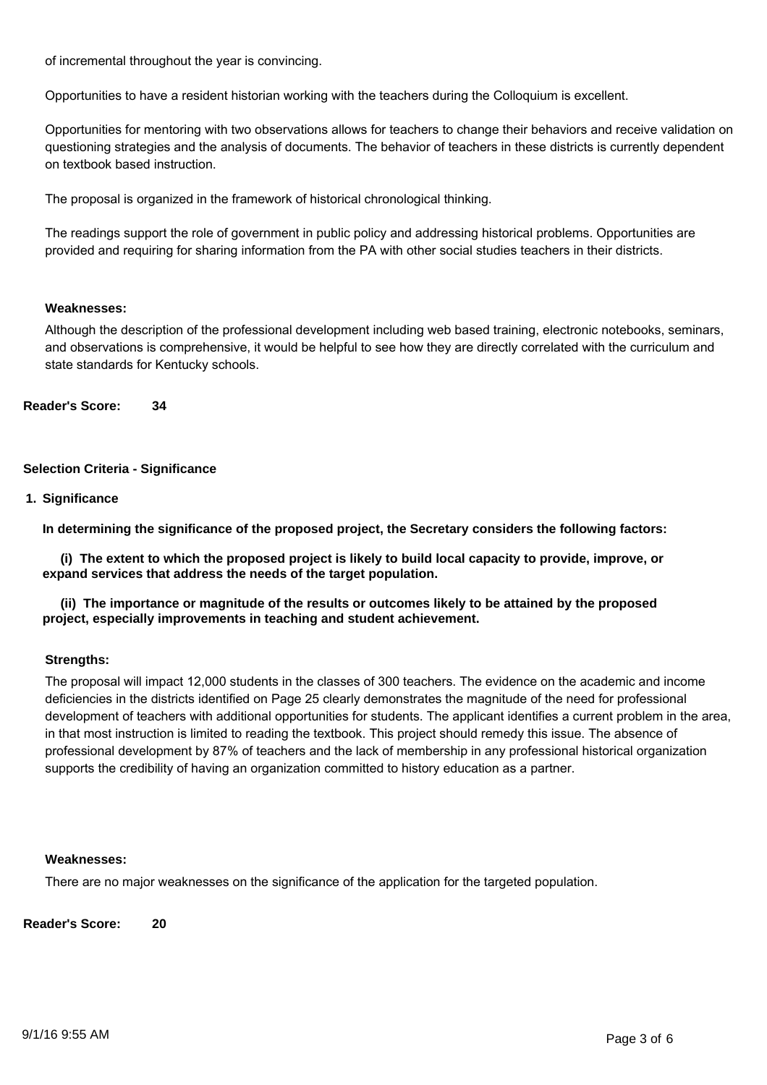of incremental throughout the year is convincing.

Opportunities to have a resident historian working with the teachers during the Colloquium is excellent.

Opportunities for mentoring with two observations allows for teachers to change their behaviors and receive validation on questioning strategies and the analysis of documents. The behavior of teachers in these districts is currently dependent on textbook based instruction.

The proposal is organized in the framework of historical chronological thinking.

The readings support the role of government in public policy and addressing historical problems. Opportunities are provided and requiring for sharing information from the PA with other social studies teachers in their districts.

### **Weaknesses:**

Although the description of the professional development including web based training, electronic notebooks, seminars, and observations is comprehensive, it would be helpful to see how they are directly correlated with the curriculum and state standards for Kentucky schools.

**Reader's Score: 34**

### **Selection Criteria - Significance**

**Significance 1.**

**In determining the significance of the proposed project, the Secretary considers the following factors:**

 **(i) The extent to which the proposed project is likely to build local capacity to provide, improve, or expand services that address the needs of the target population.**

 **(ii) The importance or magnitude of the results or outcomes likely to be attained by the proposed project, especially improvements in teaching and student achievement.**

#### **Strengths:**

The proposal will impact 12,000 students in the classes of 300 teachers. The evidence on the academic and income deficiencies in the districts identified on Page 25 clearly demonstrates the magnitude of the need for professional development of teachers with additional opportunities for students. The applicant identifies a current problem in the area, in that most instruction is limited to reading the textbook. This project should remedy this issue. The absence of professional development by 87% of teachers and the lack of membership in any professional historical organization supports the credibility of having an organization committed to history education as a partner.

#### **Weaknesses:**

There are no major weaknesses on the significance of the application for the targeted population.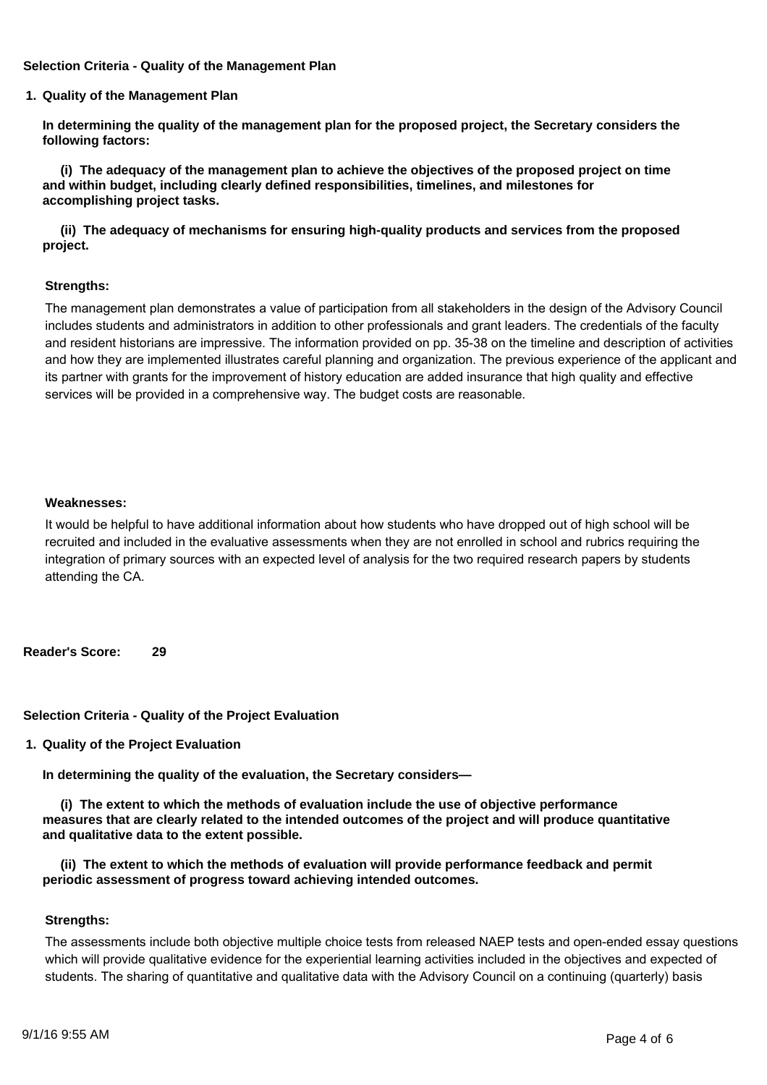**Selection Criteria - Quality of the Management Plan**

**Quality of the Management Plan 1.**

**In determining the quality of the management plan for the proposed project, the Secretary considers the following factors:**

 **(i) The adequacy of the management plan to achieve the objectives of the proposed project on time and within budget, including clearly defined responsibilities, timelines, and milestones for accomplishing project tasks.**

 **(ii) The adequacy of mechanisms for ensuring high-quality products and services from the proposed project.**

## **Strengths:**

The management plan demonstrates a value of participation from all stakeholders in the design of the Advisory Council includes students and administrators in addition to other professionals and grant leaders. The credentials of the faculty and resident historians are impressive. The information provided on pp. 35-38 on the timeline and description of activities and how they are implemented illustrates careful planning and organization. The previous experience of the applicant and its partner with grants for the improvement of history education are added insurance that high quality and effective services will be provided in a comprehensive way. The budget costs are reasonable.

## **Weaknesses:**

It would be helpful to have additional information about how students who have dropped out of high school will be recruited and included in the evaluative assessments when they are not enrolled in school and rubrics requiring the integration of primary sources with an expected level of analysis for the two required research papers by students attending the CA.

**Reader's Score: 29**

**Selection Criteria - Quality of the Project Evaluation**

**Quality of the Project Evaluation 1.**

**In determining the quality of the evaluation, the Secretary considers—**

 **(i) The extent to which the methods of evaluation include the use of objective performance measures that are clearly related to the intended outcomes of the project and will produce quantitative and qualitative data to the extent possible.**

 **(ii) The extent to which the methods of evaluation will provide performance feedback and permit periodic assessment of progress toward achieving intended outcomes.**

### **Strengths:**

The assessments include both objective multiple choice tests from released NAEP tests and open-ended essay questions which will provide qualitative evidence for the experiential learning activities included in the objectives and expected of students. The sharing of quantitative and qualitative data with the Advisory Council on a continuing (quarterly) basis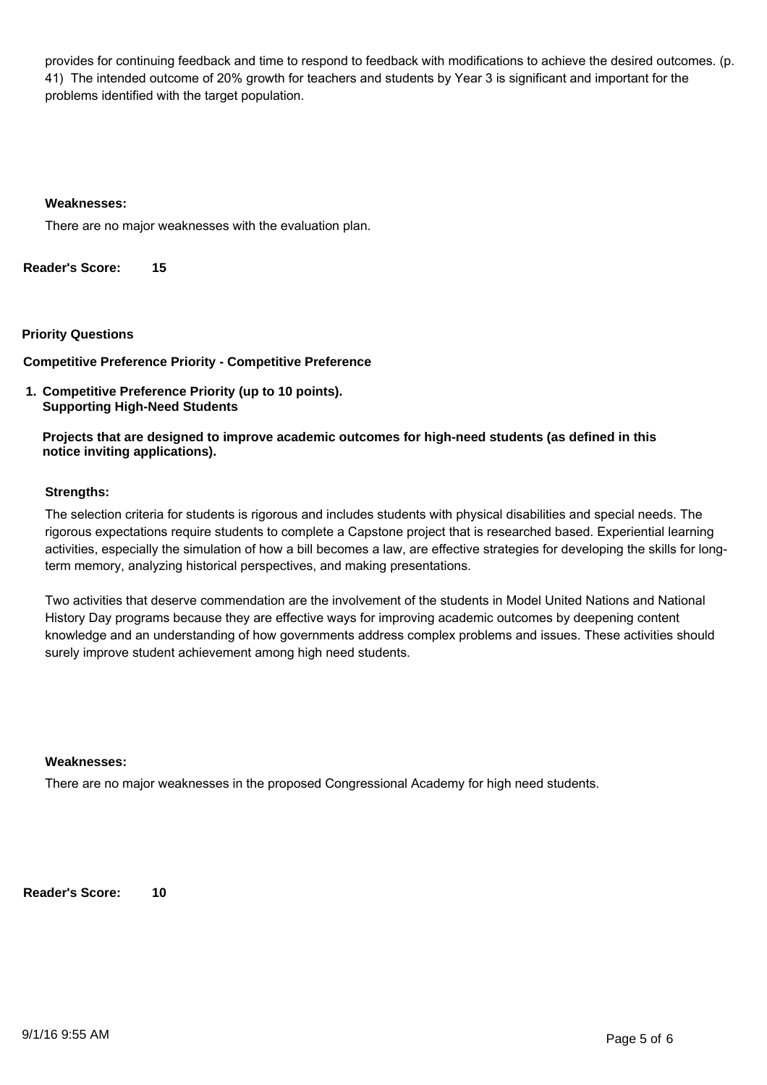provides for continuing feedback and time to respond to feedback with modifications to achieve the desired outcomes. (p. 41) The intended outcome of 20% growth for teachers and students by Year 3 is significant and important for the problems identified with the target population.

## **Weaknesses:**

There are no major weaknesses with the evaluation plan.

**Reader's Score: 15**

## **Priority Questions**

**Competitive Preference Priority - Competitive Preference**

**Competitive Preference Priority (up to 10 points). 1. Supporting High-Need Students**

**Projects that are designed to improve academic outcomes for high-need students (as defined in this notice inviting applications).**

## **Strengths:**

The selection criteria for students is rigorous and includes students with physical disabilities and special needs. The rigorous expectations require students to complete a Capstone project that is researched based. Experiential learning activities, especially the simulation of how a bill becomes a law, are effective strategies for developing the skills for longterm memory, analyzing historical perspectives, and making presentations.

Two activities that deserve commendation are the involvement of the students in Model United Nations and National History Day programs because they are effective ways for improving academic outcomes by deepening content knowledge and an understanding of how governments address complex problems and issues. These activities should surely improve student achievement among high need students.

### **Weaknesses:**

There are no major weaknesses in the proposed Congressional Academy for high need students.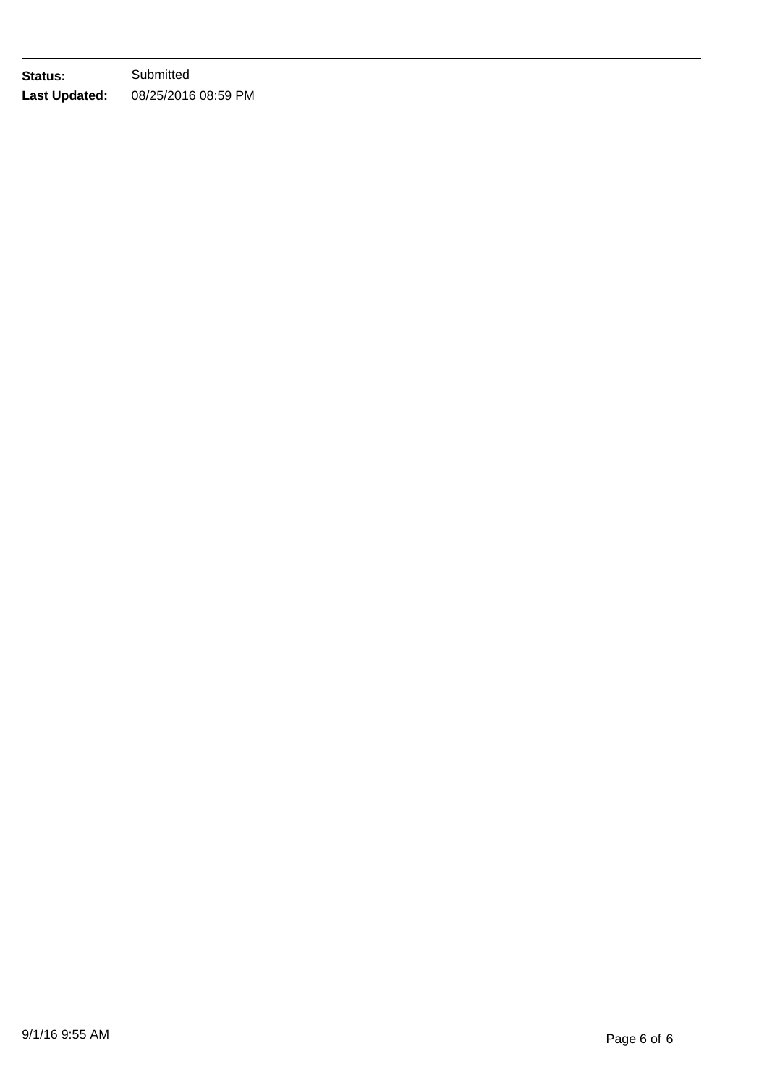**Status: Last Updated: Submitted** 08/25/2016 08:59 PM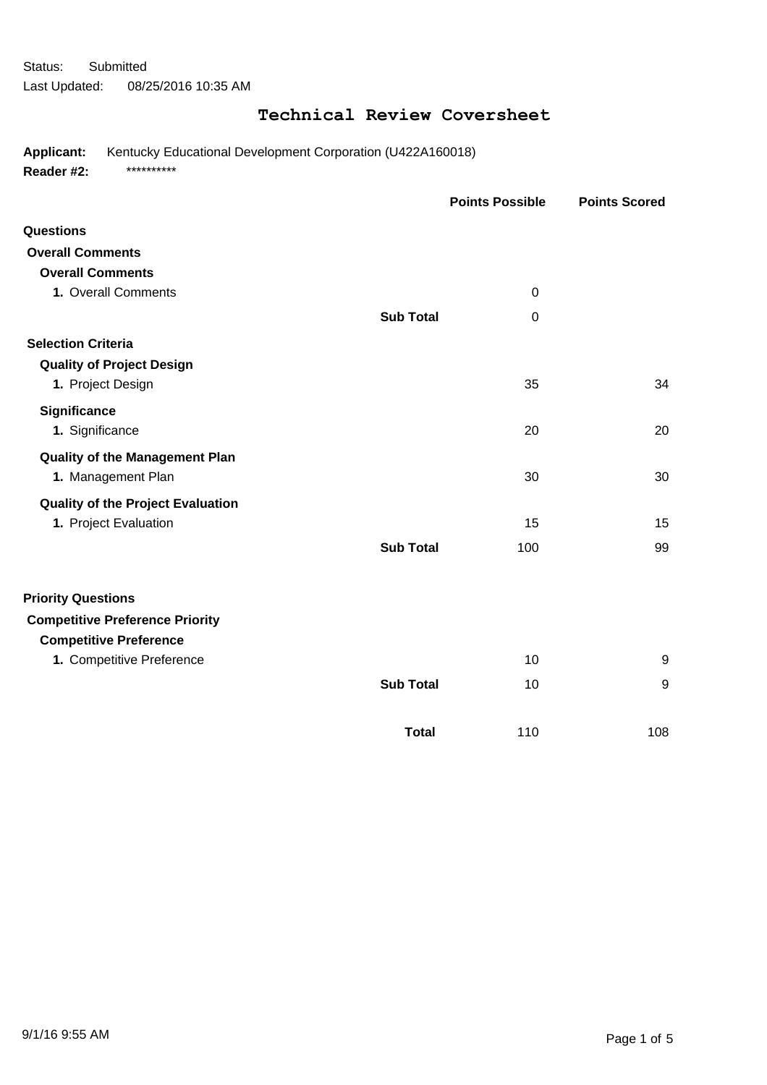Status: Submitted Last Updated: 08/25/2016 10:35 AM

# **Technical Review Coversheet**

**Applicant:** Kentucky Educational Development Corporation (U422A160018) Reader #2: \*\*\*\*\*\*\*\*\*\*\*

|                                          |                  | <b>Points Possible</b> | <b>Points Scored</b> |
|------------------------------------------|------------------|------------------------|----------------------|
| <b>Questions</b>                         |                  |                        |                      |
| <b>Overall Comments</b>                  |                  |                        |                      |
| <b>Overall Comments</b>                  |                  |                        |                      |
| 1. Overall Comments                      |                  | 0                      |                      |
|                                          | <b>Sub Total</b> | 0                      |                      |
| <b>Selection Criteria</b>                |                  |                        |                      |
| <b>Quality of Project Design</b>         |                  |                        |                      |
| 1. Project Design                        |                  | 35                     | 34                   |
| <b>Significance</b>                      |                  |                        |                      |
| 1. Significance                          |                  | 20                     | 20                   |
| <b>Quality of the Management Plan</b>    |                  |                        |                      |
| 1. Management Plan                       |                  | 30                     | 30                   |
| <b>Quality of the Project Evaluation</b> |                  |                        |                      |
| 1. Project Evaluation                    |                  | 15                     | 15                   |
|                                          | <b>Sub Total</b> | 100                    | 99                   |
| <b>Priority Questions</b>                |                  |                        |                      |
| <b>Competitive Preference Priority</b>   |                  |                        |                      |
| <b>Competitive Preference</b>            |                  |                        |                      |
| 1. Competitive Preference                |                  | 10                     | 9                    |
|                                          | <b>Sub Total</b> | 10                     | 9                    |
|                                          | <b>Total</b>     | 110                    | 108                  |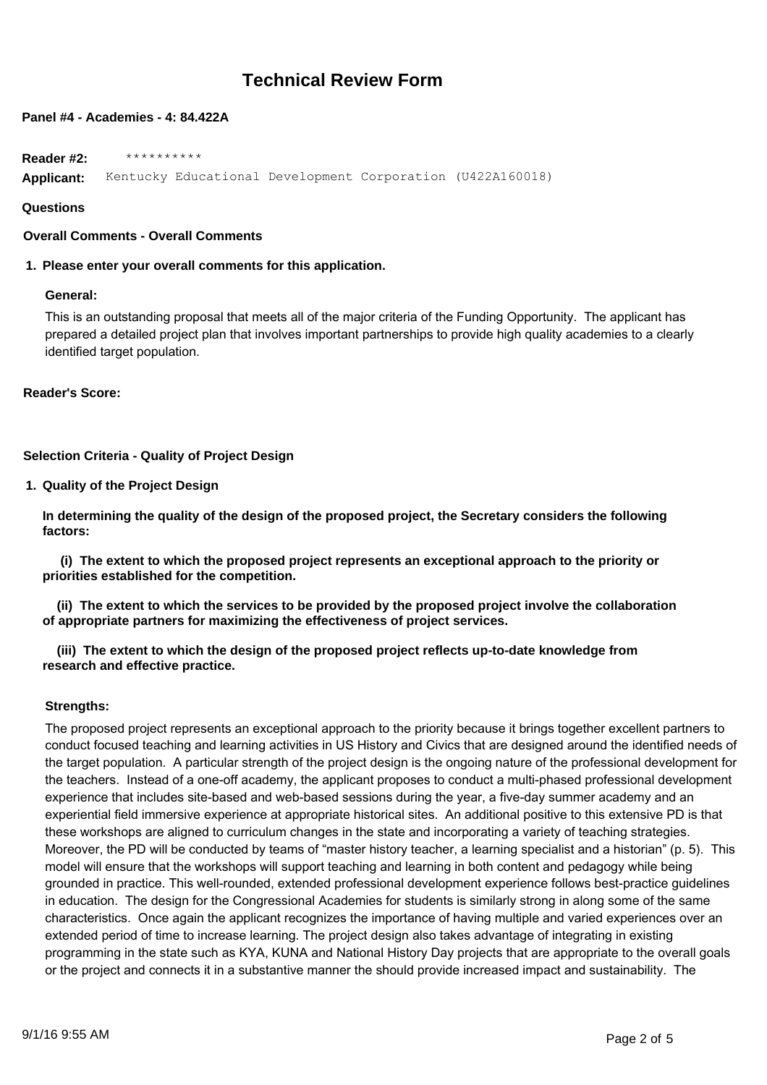## **Technical Review Form**

## **Panel #4 - Academies - 4: 84.422A**

**Reader #2:** \*\*\*\*\*\*\*\*\*\* **Applicant:** Kentucky Educational Development Corporation (U422A160018)

## **Questions**

**Overall Comments - Overall Comments**

## **1. Please enter your overall comments for this application.**

### **General:**

This is an outstanding proposal that meets all of the major criteria of the Funding Opportunity. The applicant has prepared a detailed project plan that involves important partnerships to provide high quality academies to a clearly identified target population.

**Reader's Score:**

## **Selection Criteria - Quality of Project Design**

**Quality of the Project Design 1.**

**In determining the quality of the design of the proposed project, the Secretary considers the following factors:**

 **(i) The extent to which the proposed project represents an exceptional approach to the priority or priorities established for the competition.**

 **(ii) The extent to which the services to be provided by the proposed project involve the collaboration of appropriate partners for maximizing the effectiveness of project services.**

## **(iii) The extent to which the design of the proposed project reflects up-to-date knowledge from research and effective practice.**

### **Strengths:**

The proposed project represents an exceptional approach to the priority because it brings together excellent partners to conduct focused teaching and learning activities in US History and Civics that are designed around the identified needs of the target population. A particular strength of the project design is the ongoing nature of the professional development for the teachers. Instead of a one-off academy, the applicant proposes to conduct a multi-phased professional development experience that includes site-based and web-based sessions during the year, a five-day summer academy and an experiential field immersive experience at appropriate historical sites. An additional positive to this extensive PD is that these workshops are aligned to curriculum changes in the state and incorporating a variety of teaching strategies. Moreover, the PD will be conducted by teams of "master history teacher, a learning specialist and a historian" (p. 5). This model will ensure that the workshops will support teaching and learning in both content and pedagogy while being grounded in practice. This well-rounded, extended professional development experience follows best-practice guidelines in education. The design for the Congressional Academies for students is similarly strong in along some of the same characteristics. Once again the applicant recognizes the importance of having multiple and varied experiences over an extended period of time to increase learning. The project design also takes advantage of integrating in existing programming in the state such as KYA, KUNA and National History Day projects that are appropriate to the overall goals or the project and connects it in a substantive manner the should provide increased impact and sustainability. The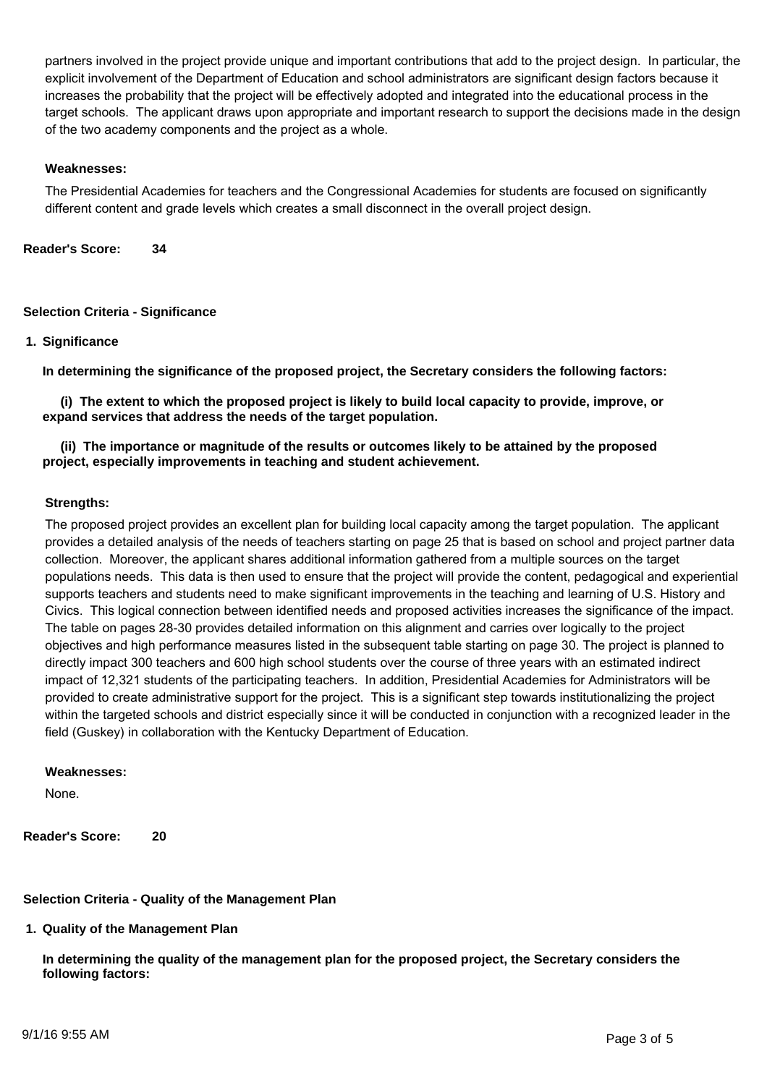partners involved in the project provide unique and important contributions that add to the project design. In particular, the explicit involvement of the Department of Education and school administrators are significant design factors because it increases the probability that the project will be effectively adopted and integrated into the educational process in the target schools. The applicant draws upon appropriate and important research to support the decisions made in the design of the two academy components and the project as a whole.

## **Weaknesses:**

The Presidential Academies for teachers and the Congressional Academies for students are focused on significantly different content and grade levels which creates a small disconnect in the overall project design.

**Reader's Score: 34**

## **Selection Criteria - Significance**

## **Significance 1.**

**In determining the significance of the proposed project, the Secretary considers the following factors:**

 **(i) The extent to which the proposed project is likely to build local capacity to provide, improve, or expand services that address the needs of the target population.**

 **(ii) The importance or magnitude of the results or outcomes likely to be attained by the proposed project, especially improvements in teaching and student achievement.**

## **Strengths:**

The proposed project provides an excellent plan for building local capacity among the target population. The applicant provides a detailed analysis of the needs of teachers starting on page 25 that is based on school and project partner data collection. Moreover, the applicant shares additional information gathered from a multiple sources on the target populations needs. This data is then used to ensure that the project will provide the content, pedagogical and experiential supports teachers and students need to make significant improvements in the teaching and learning of U.S. History and Civics. This logical connection between identified needs and proposed activities increases the significance of the impact. The table on pages 28-30 provides detailed information on this alignment and carries over logically to the project objectives and high performance measures listed in the subsequent table starting on page 30. The project is planned to directly impact 300 teachers and 600 high school students over the course of three years with an estimated indirect impact of 12,321 students of the participating teachers. In addition, Presidential Academies for Administrators will be provided to create administrative support for the project. This is a significant step towards institutionalizing the project within the targeted schools and district especially since it will be conducted in conjunction with a recognized leader in the field (Guskey) in collaboration with the Kentucky Department of Education.

### **Weaknesses:**

None.

**Reader's Score: 20**

## **Selection Criteria - Quality of the Management Plan**

## **Quality of the Management Plan 1.**

**In determining the quality of the management plan for the proposed project, the Secretary considers the following factors:**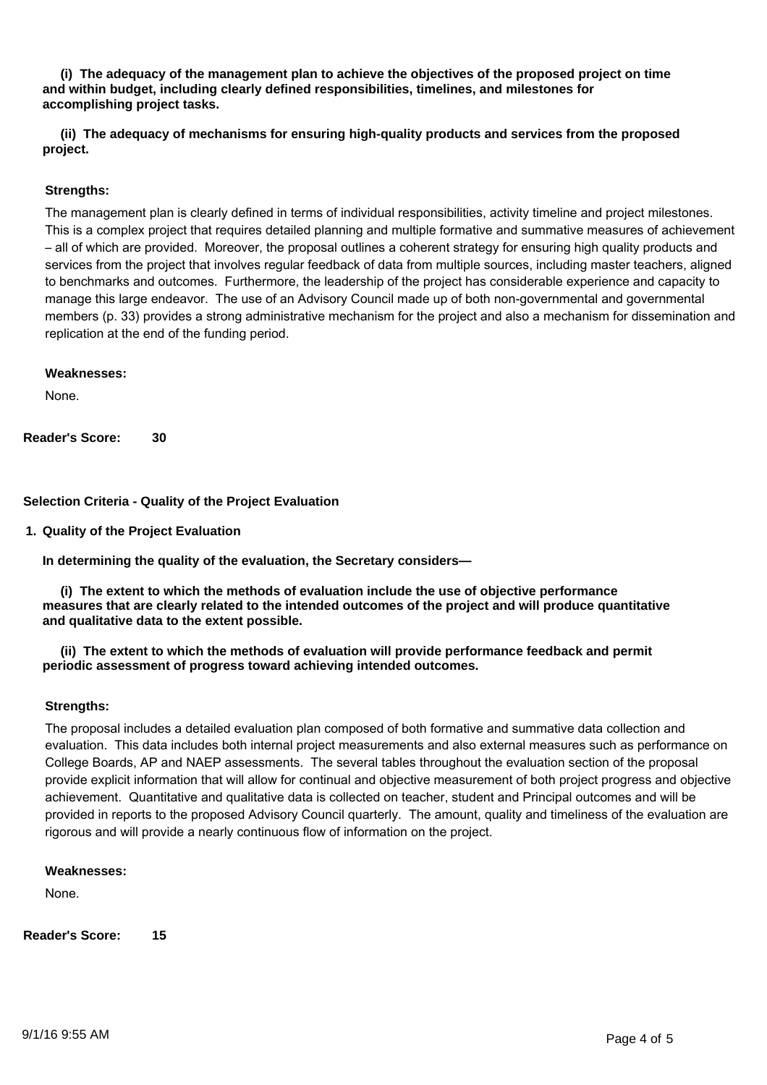**(i) The adequacy of the management plan to achieve the objectives of the proposed project on time and within budget, including clearly defined responsibilities, timelines, and milestones for accomplishing project tasks.**

 **(ii) The adequacy of mechanisms for ensuring high-quality products and services from the proposed project.**

## **Strengths:**

The management plan is clearly defined in terms of individual responsibilities, activity timeline and project milestones. This is a complex project that requires detailed planning and multiple formative and summative measures of achievement – all of which are provided. Moreover, the proposal outlines a coherent strategy for ensuring high quality products and services from the project that involves regular feedback of data from multiple sources, including master teachers, aligned to benchmarks and outcomes. Furthermore, the leadership of the project has considerable experience and capacity to manage this large endeavor. The use of an Advisory Council made up of both non-governmental and governmental members (p. 33) provides a strong administrative mechanism for the project and also a mechanism for dissemination and replication at the end of the funding period.

## **Weaknesses:**

None.

**Reader's Score: 30**

**Selection Criteria - Quality of the Project Evaluation**

**Quality of the Project Evaluation 1.**

**In determining the quality of the evaluation, the Secretary considers—**

 **(i) The extent to which the methods of evaluation include the use of objective performance measures that are clearly related to the intended outcomes of the project and will produce quantitative and qualitative data to the extent possible.**

## **(ii) The extent to which the methods of evaluation will provide performance feedback and permit periodic assessment of progress toward achieving intended outcomes.**

### **Strengths:**

The proposal includes a detailed evaluation plan composed of both formative and summative data collection and evaluation. This data includes both internal project measurements and also external measures such as performance on College Boards, AP and NAEP assessments. The several tables throughout the evaluation section of the proposal provide explicit information that will allow for continual and objective measurement of both project progress and objective achievement. Quantitative and qualitative data is collected on teacher, student and Principal outcomes and will be provided in reports to the proposed Advisory Council quarterly. The amount, quality and timeliness of the evaluation are rigorous and will provide a nearly continuous flow of information on the project.

### **Weaknesses:**

None.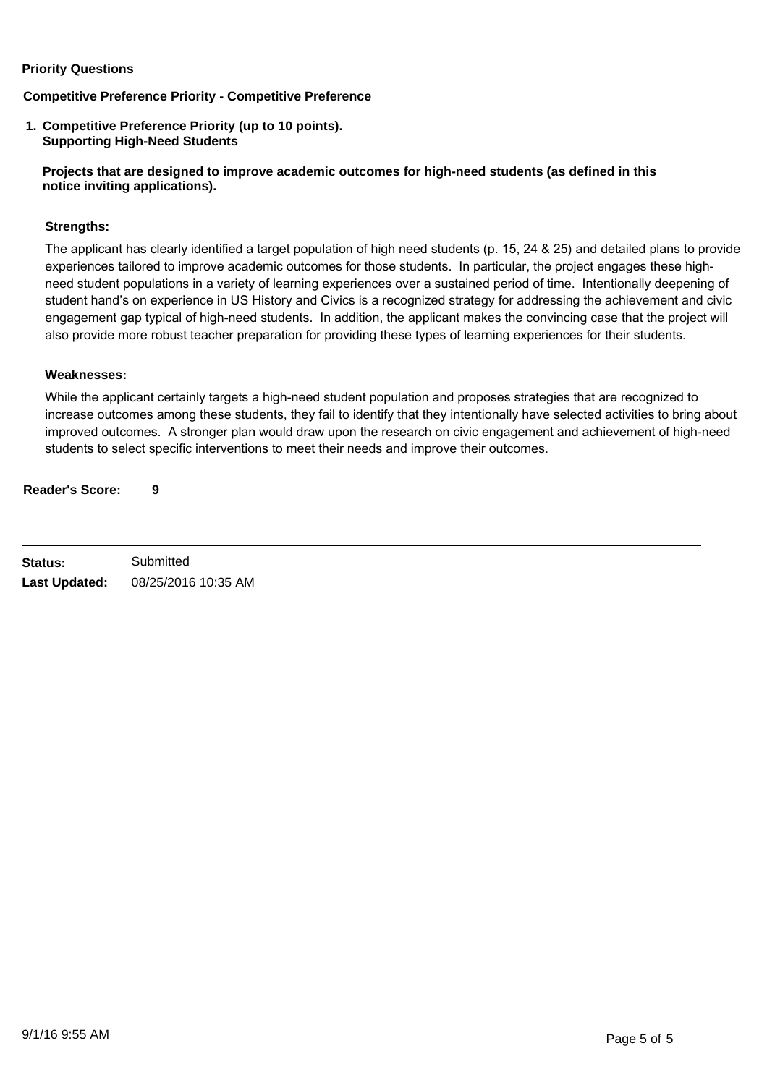## **Priority Questions**

## **Competitive Preference Priority - Competitive Preference**

**Competitive Preference Priority (up to 10 points). 1. Supporting High-Need Students**

**Projects that are designed to improve academic outcomes for high-need students (as defined in this notice inviting applications).**

## **Strengths:**

The applicant has clearly identified a target population of high need students (p. 15, 24 & 25) and detailed plans to provide experiences tailored to improve academic outcomes for those students. In particular, the project engages these highneed student populations in a variety of learning experiences over a sustained period of time. Intentionally deepening of student hand's on experience in US History and Civics is a recognized strategy for addressing the achievement and civic engagement gap typical of high-need students. In addition, the applicant makes the convincing case that the project will also provide more robust teacher preparation for providing these types of learning experiences for their students.

### **Weaknesses:**

While the applicant certainly targets a high-need student population and proposes strategies that are recognized to increase outcomes among these students, they fail to identify that they intentionally have selected activities to bring about improved outcomes. A stronger plan would draw upon the research on civic engagement and achievement of high-need students to select specific interventions to meet their needs and improve their outcomes.

| <b>Status:</b> | Submitted           |
|----------------|---------------------|
| Last Updated:  | 08/25/2016 10:35 AM |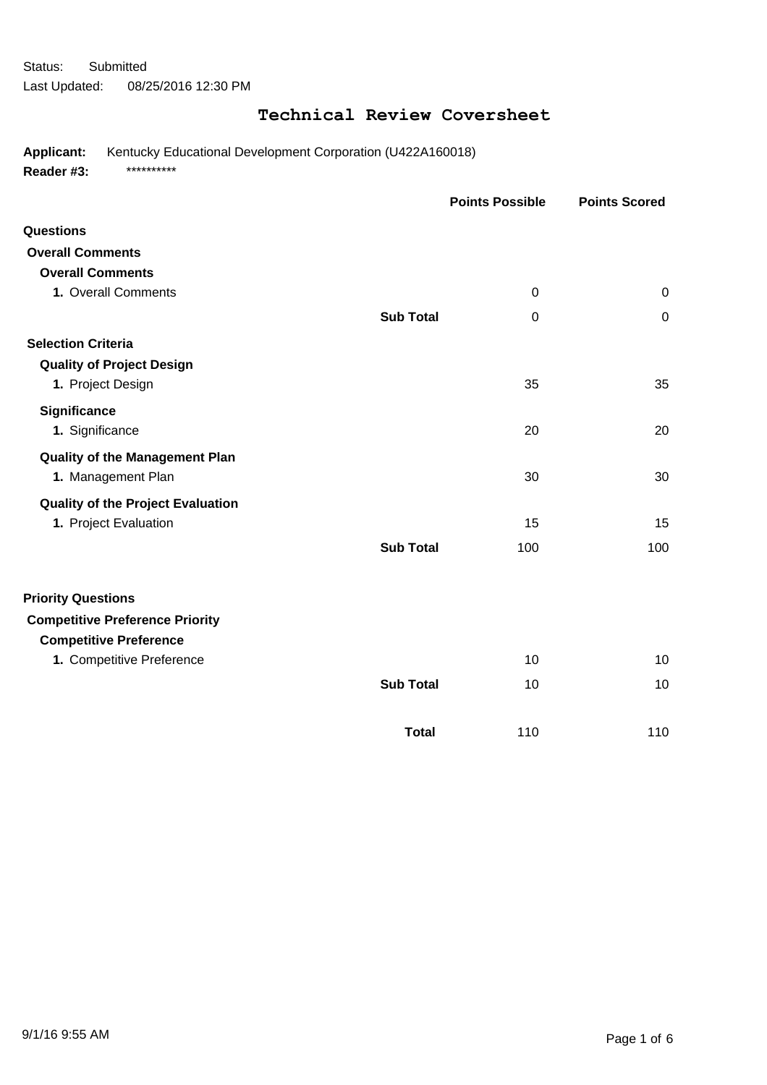Status: Submitted Last Updated: 08/25/2016 12:30 PM

# **Technical Review Coversheet**

**Applicant:** Kentucky Educational Development Corporation (U422A160018) Reader #3: \*\*\*\*\*\*\*\*\*\*\*

|                                          |                  | <b>Points Possible</b> | <b>Points Scored</b> |
|------------------------------------------|------------------|------------------------|----------------------|
| Questions                                |                  |                        |                      |
| <b>Overall Comments</b>                  |                  |                        |                      |
| <b>Overall Comments</b>                  |                  |                        |                      |
| 1. Overall Comments                      |                  | $\Omega$               | 0                    |
|                                          | <b>Sub Total</b> | $\Omega$               | $\Omega$             |
| <b>Selection Criteria</b>                |                  |                        |                      |
| <b>Quality of Project Design</b>         |                  |                        |                      |
| 1. Project Design                        |                  | 35                     | 35                   |
| <b>Significance</b>                      |                  |                        |                      |
| 1. Significance                          |                  | 20                     | 20                   |
| <b>Quality of the Management Plan</b>    |                  |                        |                      |
| 1. Management Plan                       |                  | 30                     | 30                   |
| <b>Quality of the Project Evaluation</b> |                  |                        |                      |
| 1. Project Evaluation                    |                  | 15                     | 15                   |
|                                          | <b>Sub Total</b> | 100                    | 100                  |
| <b>Priority Questions</b>                |                  |                        |                      |
| <b>Competitive Preference Priority</b>   |                  |                        |                      |
| <b>Competitive Preference</b>            |                  |                        |                      |
| 1. Competitive Preference                |                  | 10                     | 10                   |
|                                          | <b>Sub Total</b> | 10                     | 10                   |
|                                          | <b>Total</b>     | 110                    | 110                  |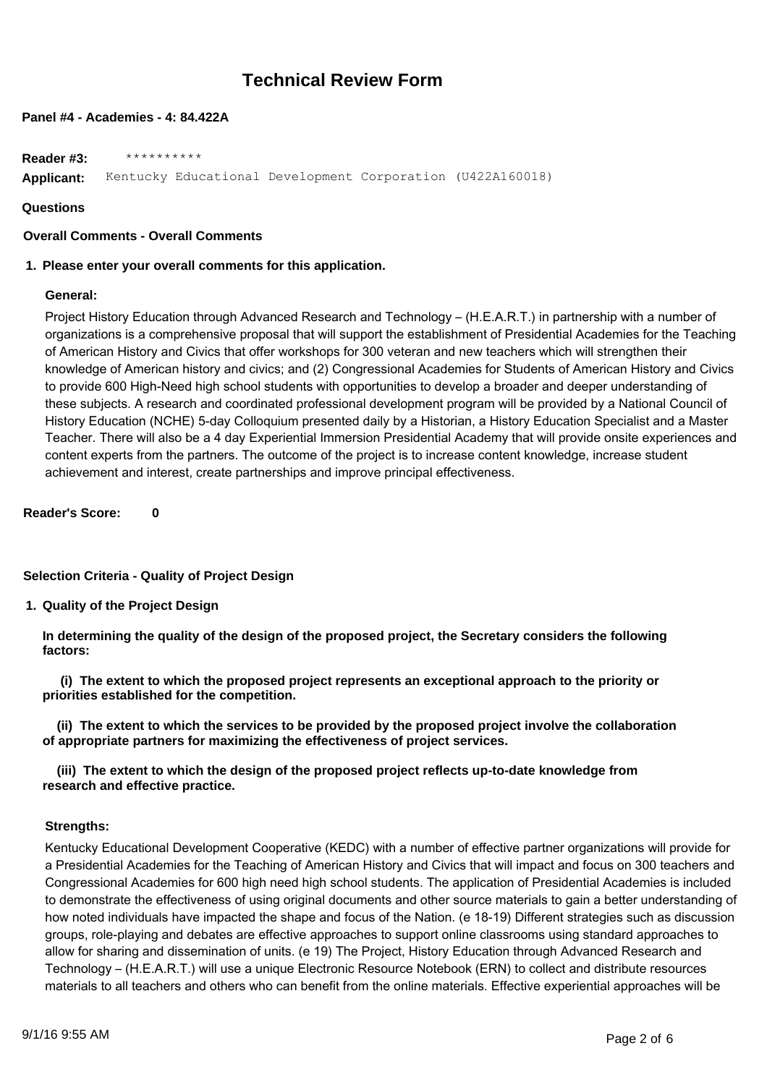## **Technical Review Form**

## **Panel #4 - Academies - 4: 84.422A**

**Reader #3:** \*\*\*\*\*\*\*\*\*\* **Applicant:** Kentucky Educational Development Corporation (U422A160018)

### **Questions**

**Overall Comments - Overall Comments**

## **1. Please enter your overall comments for this application.**

### **General:**

Project History Education through Advanced Research and Technology – (H.E.A.R.T.) in partnership with a number of organizations is a comprehensive proposal that will support the establishment of Presidential Academies for the Teaching of American History and Civics that offer workshops for 300 veteran and new teachers which will strengthen their knowledge of American history and civics; and (2) Congressional Academies for Students of American History and Civics to provide 600 High-Need high school students with opportunities to develop a broader and deeper understanding of these subjects. A research and coordinated professional development program will be provided by a National Council of History Education (NCHE) 5-day Colloquium presented daily by a Historian, a History Education Specialist and a Master Teacher. There will also be a 4 day Experiential Immersion Presidential Academy that will provide onsite experiences and content experts from the partners. The outcome of the project is to increase content knowledge, increase student achievement and interest, create partnerships and improve principal effectiveness.

**Reader's Score: 0**

## **Selection Criteria - Quality of Project Design**

**Quality of the Project Design 1.**

**In determining the quality of the design of the proposed project, the Secretary considers the following factors:**

 **(i) The extent to which the proposed project represents an exceptional approach to the priority or priorities established for the competition.**

 **(ii) The extent to which the services to be provided by the proposed project involve the collaboration of appropriate partners for maximizing the effectiveness of project services.**

 **(iii) The extent to which the design of the proposed project reflects up-to-date knowledge from research and effective practice.**

### **Strengths:**

Kentucky Educational Development Cooperative (KEDC) with a number of effective partner organizations will provide for a Presidential Academies for the Teaching of American History and Civics that will impact and focus on 300 teachers and Congressional Academies for 600 high need high school students. The application of Presidential Academies is included to demonstrate the effectiveness of using original documents and other source materials to gain a better understanding of how noted individuals have impacted the shape and focus of the Nation. (e 18-19) Different strategies such as discussion groups, role-playing and debates are effective approaches to support online classrooms using standard approaches to allow for sharing and dissemination of units. (e 19) The Project, History Education through Advanced Research and Technology – (H.E.A.R.T.) will use a unique Electronic Resource Notebook (ERN) to collect and distribute resources materials to all teachers and others who can benefit from the online materials. Effective experiential approaches will be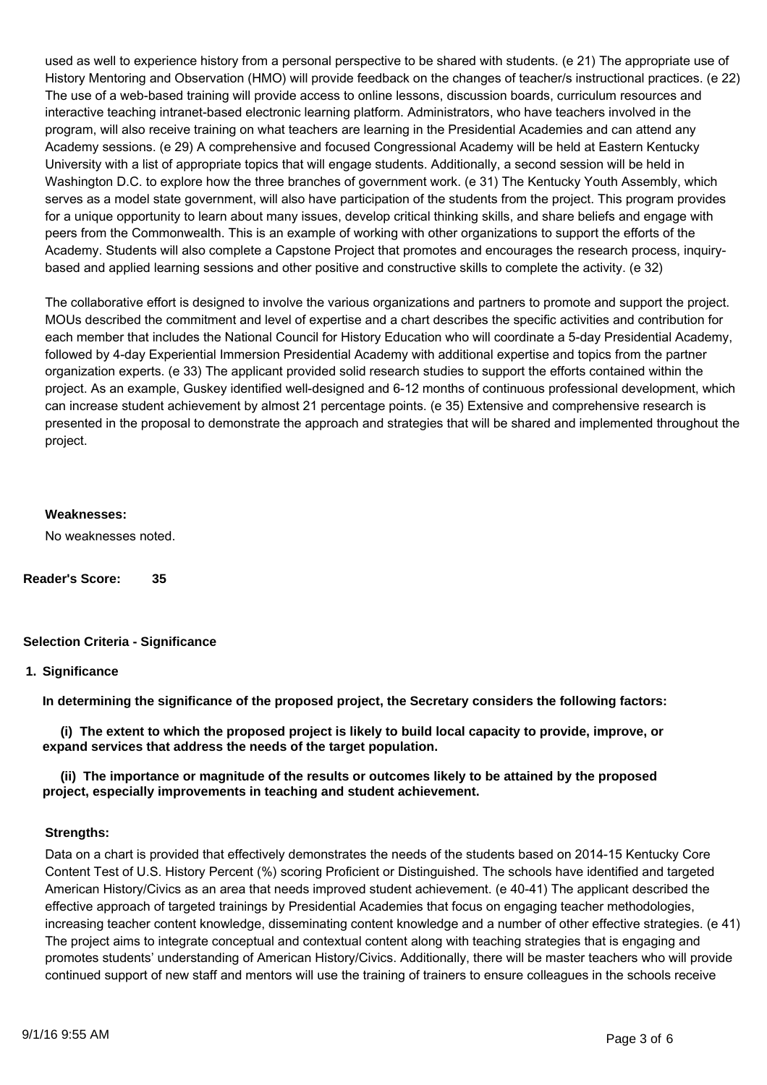used as well to experience history from a personal perspective to be shared with students. (e 21) The appropriate use of History Mentoring and Observation (HMO) will provide feedback on the changes of teacher/s instructional practices. (e 22) The use of a web-based training will provide access to online lessons, discussion boards, curriculum resources and interactive teaching intranet-based electronic learning platform. Administrators, who have teachers involved in the program, will also receive training on what teachers are learning in the Presidential Academies and can attend any Academy sessions. (e 29) A comprehensive and focused Congressional Academy will be held at Eastern Kentucky University with a list of appropriate topics that will engage students. Additionally, a second session will be held in Washington D.C. to explore how the three branches of government work. (e 31) The Kentucky Youth Assembly, which serves as a model state government, will also have participation of the students from the project. This program provides for a unique opportunity to learn about many issues, develop critical thinking skills, and share beliefs and engage with peers from the Commonwealth. This is an example of working with other organizations to support the efforts of the Academy. Students will also complete a Capstone Project that promotes and encourages the research process, inquirybased and applied learning sessions and other positive and constructive skills to complete the activity. (e 32)

The collaborative effort is designed to involve the various organizations and partners to promote and support the project. MOUs described the commitment and level of expertise and a chart describes the specific activities and contribution for each member that includes the National Council for History Education who will coordinate a 5-day Presidential Academy, followed by 4-day Experiential Immersion Presidential Academy with additional expertise and topics from the partner organization experts. (e 33) The applicant provided solid research studies to support the efforts contained within the project. As an example, Guskey identified well-designed and 6-12 months of continuous professional development, which can increase student achievement by almost 21 percentage points. (e 35) Extensive and comprehensive research is presented in the proposal to demonstrate the approach and strategies that will be shared and implemented throughout the project.

### **Weaknesses:**

No weaknesses noted.

**Reader's Score: 35**

## **Selection Criteria - Significance**

## **Significance 1.**

**In determining the significance of the proposed project, the Secretary considers the following factors:**

 **(i) The extent to which the proposed project is likely to build local capacity to provide, improve, or expand services that address the needs of the target population.**

## **(ii) The importance or magnitude of the results or outcomes likely to be attained by the proposed project, especially improvements in teaching and student achievement.**

## **Strengths:**

Data on a chart is provided that effectively demonstrates the needs of the students based on 2014-15 Kentucky Core Content Test of U.S. History Percent (%) scoring Proficient or Distinguished. The schools have identified and targeted American History/Civics as an area that needs improved student achievement. (e 40-41) The applicant described the effective approach of targeted trainings by Presidential Academies that focus on engaging teacher methodologies, increasing teacher content knowledge, disseminating content knowledge and a number of other effective strategies. (e 41) The project aims to integrate conceptual and contextual content along with teaching strategies that is engaging and promotes students' understanding of American History/Civics. Additionally, there will be master teachers who will provide continued support of new staff and mentors will use the training of trainers to ensure colleagues in the schools receive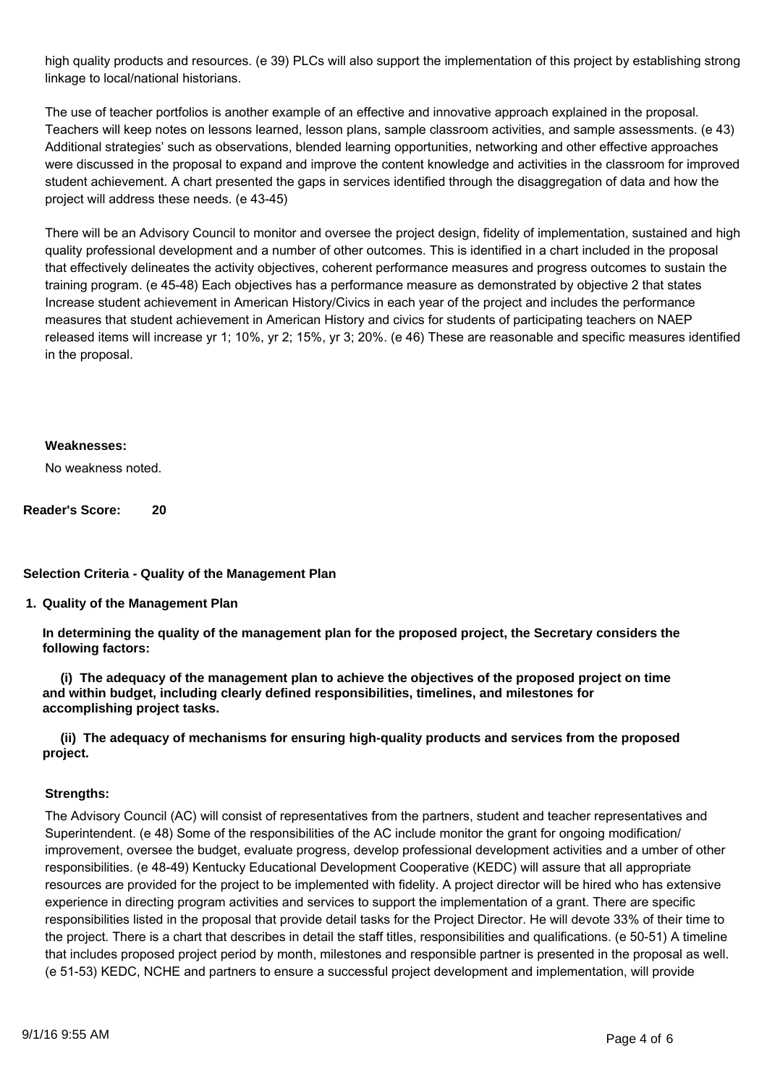high quality products and resources. (e 39) PLCs will also support the implementation of this project by establishing strong linkage to local/national historians.

The use of teacher portfolios is another example of an effective and innovative approach explained in the proposal. Teachers will keep notes on lessons learned, lesson plans, sample classroom activities, and sample assessments. (e 43) Additional strategies' such as observations, blended learning opportunities, networking and other effective approaches were discussed in the proposal to expand and improve the content knowledge and activities in the classroom for improved student achievement. A chart presented the gaps in services identified through the disaggregation of data and how the project will address these needs. (e 43-45)

There will be an Advisory Council to monitor and oversee the project design, fidelity of implementation, sustained and high quality professional development and a number of other outcomes. This is identified in a chart included in the proposal that effectively delineates the activity objectives, coherent performance measures and progress outcomes to sustain the training program. (e 45-48) Each objectives has a performance measure as demonstrated by objective 2 that states Increase student achievement in American History/Civics in each year of the project and includes the performance measures that student achievement in American History and civics for students of participating teachers on NAEP released items will increase yr 1; 10%, yr 2; 15%, yr 3; 20%. (e 46) These are reasonable and specific measures identified in the proposal.

### **Weaknesses:**

No weakness noted.

**Reader's Score: 20**

## **Selection Criteria - Quality of the Management Plan**

## **Quality of the Management Plan 1.**

**In determining the quality of the management plan for the proposed project, the Secretary considers the following factors:**

 **(i) The adequacy of the management plan to achieve the objectives of the proposed project on time and within budget, including clearly defined responsibilities, timelines, and milestones for accomplishing project tasks.**

 **(ii) The adequacy of mechanisms for ensuring high-quality products and services from the proposed project.**

## **Strengths:**

The Advisory Council (AC) will consist of representatives from the partners, student and teacher representatives and Superintendent. (e 48) Some of the responsibilities of the AC include monitor the grant for ongoing modification/ improvement, oversee the budget, evaluate progress, develop professional development activities and a umber of other responsibilities. (e 48-49) Kentucky Educational Development Cooperative (KEDC) will assure that all appropriate resources are provided for the project to be implemented with fidelity. A project director will be hired who has extensive experience in directing program activities and services to support the implementation of a grant. There are specific responsibilities listed in the proposal that provide detail tasks for the Project Director. He will devote 33% of their time to the project. There is a chart that describes in detail the staff titles, responsibilities and qualifications. (e 50-51) A timeline that includes proposed project period by month, milestones and responsible partner is presented in the proposal as well. (e 51-53) KEDC, NCHE and partners to ensure a successful project development and implementation, will provide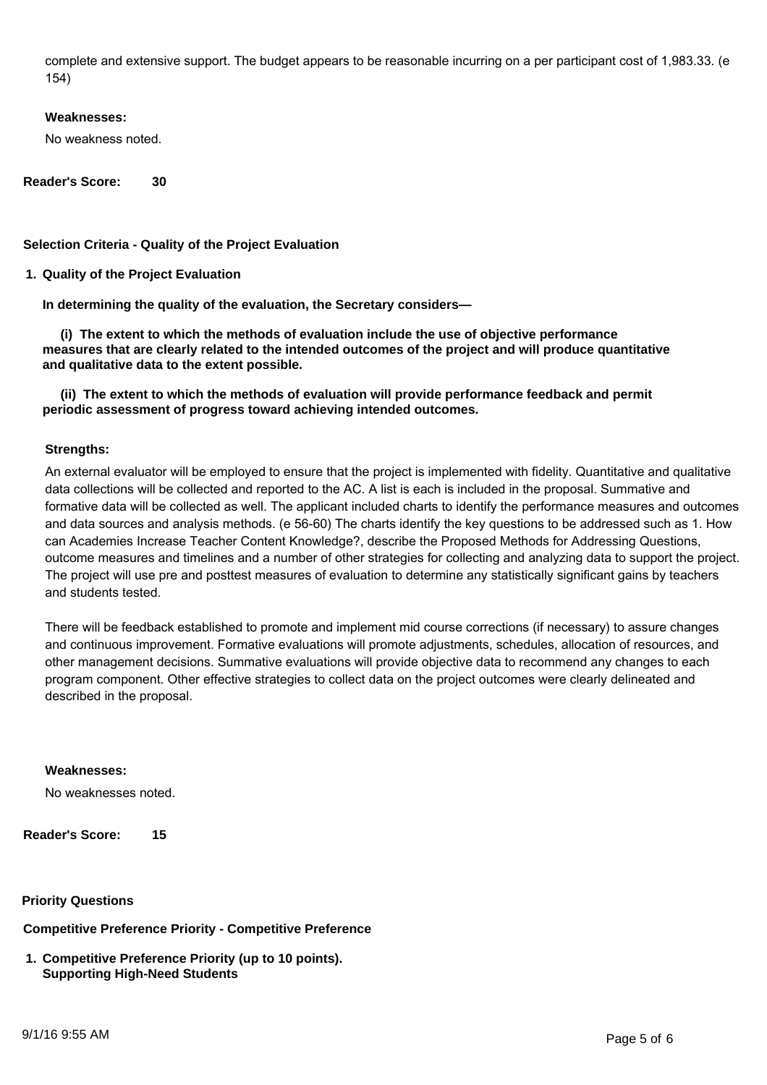complete and extensive support. The budget appears to be reasonable incurring on a per participant cost of 1,983.33. (e 154)

**Weaknesses:**

No weakness noted.

**Reader's Score: 30**

**Selection Criteria - Quality of the Project Evaluation**

**Quality of the Project Evaluation 1.**

**In determining the quality of the evaluation, the Secretary considers—**

 **(i) The extent to which the methods of evaluation include the use of objective performance measures that are clearly related to the intended outcomes of the project and will produce quantitative and qualitative data to the extent possible.**

 **(ii) The extent to which the methods of evaluation will provide performance feedback and permit periodic assessment of progress toward achieving intended outcomes.**

## **Strengths:**

An external evaluator will be employed to ensure that the project is implemented with fidelity. Quantitative and qualitative data collections will be collected and reported to the AC. A list is each is included in the proposal. Summative and formative data will be collected as well. The applicant included charts to identify the performance measures and outcomes and data sources and analysis methods. (e 56-60) The charts identify the key questions to be addressed such as 1. How can Academies Increase Teacher Content Knowledge?, describe the Proposed Methods for Addressing Questions, outcome measures and timelines and a number of other strategies for collecting and analyzing data to support the project. The project will use pre and posttest measures of evaluation to determine any statistically significant gains by teachers and students tested.

There will be feedback established to promote and implement mid course corrections (if necessary) to assure changes and continuous improvement. Formative evaluations will promote adjustments, schedules, allocation of resources, and other management decisions. Summative evaluations will provide objective data to recommend any changes to each program component. Other effective strategies to collect data on the project outcomes were clearly delineated and described in the proposal.

**Weaknesses:**

No weaknesses noted.

**Reader's Score: 15**

### **Priority Questions**

**Competitive Preference Priority - Competitive Preference**

**Competitive Preference Priority (up to 10 points). 1. Supporting High-Need Students**